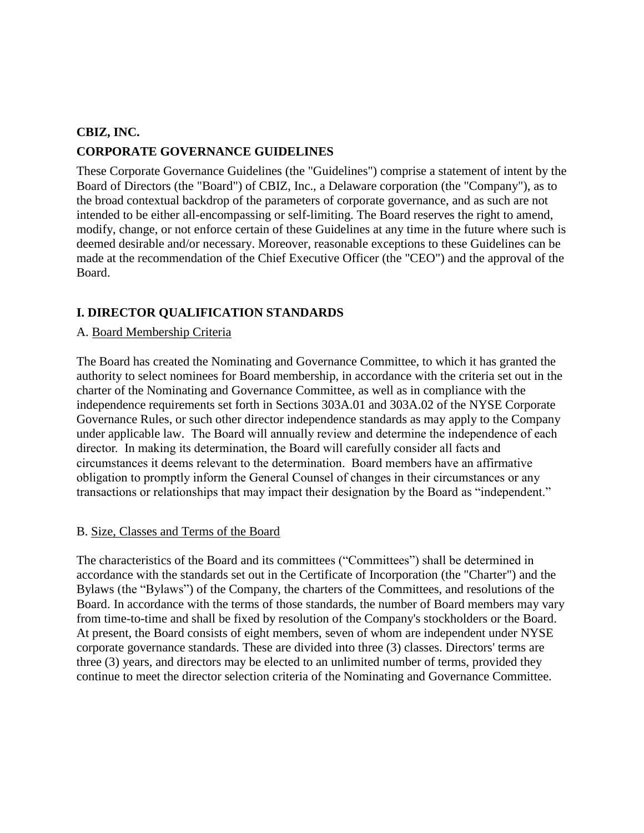# **CBIZ, INC. CORPORATE GOVERNANCE GUIDELINES**

These Corporate Governance Guidelines (the "Guidelines") comprise a statement of intent by the Board of Directors (the "Board") of CBIZ, Inc., a Delaware corporation (the "Company"), as to the broad contextual backdrop of the parameters of corporate governance, and as such are not intended to be either all-encompassing or self-limiting. The Board reserves the right to amend, modify, change, or not enforce certain of these Guidelines at any time in the future where such is deemed desirable and/or necessary. Moreover, reasonable exceptions to these Guidelines can be made at the recommendation of the Chief Executive Officer (the "CEO") and the approval of the Board.

# **I. DIRECTOR QUALIFICATION STANDARDS**

### A. Board Membership Criteria

The Board has created the Nominating and Governance Committee, to which it has granted the authority to select nominees for Board membership, in accordance with the criteria set out in the charter of the Nominating and Governance Committee, as well as in compliance with the independence requirements set forth in Sections 303A.01 and 303A.02 of the NYSE Corporate Governance Rules, or such other director independence standards as may apply to the Company under applicable law. The Board will annually review and determine the independence of each director. In making its determination, the Board will carefully consider all facts and circumstances it deems relevant to the determination. Board members have an affirmative obligation to promptly inform the General Counsel of changes in their circumstances or any transactions or relationships that may impact their designation by the Board as "independent."

#### B. Size, Classes and Terms of the Board

The characteristics of the Board and its committees ("Committees") shall be determined in accordance with the standards set out in the Certificate of Incorporation (the "Charter") and the Bylaws (the "Bylaws") of the Company, the charters of the Committees, and resolutions of the Board. In accordance with the terms of those standards, the number of Board members may vary from time-to-time and shall be fixed by resolution of the Company's stockholders or the Board. At present, the Board consists of eight members, seven of whom are independent under NYSE corporate governance standards. These are divided into three (3) classes. Directors' terms are three (3) years, and directors may be elected to an unlimited number of terms, provided they continue to meet the director selection criteria of the Nominating and Governance Committee.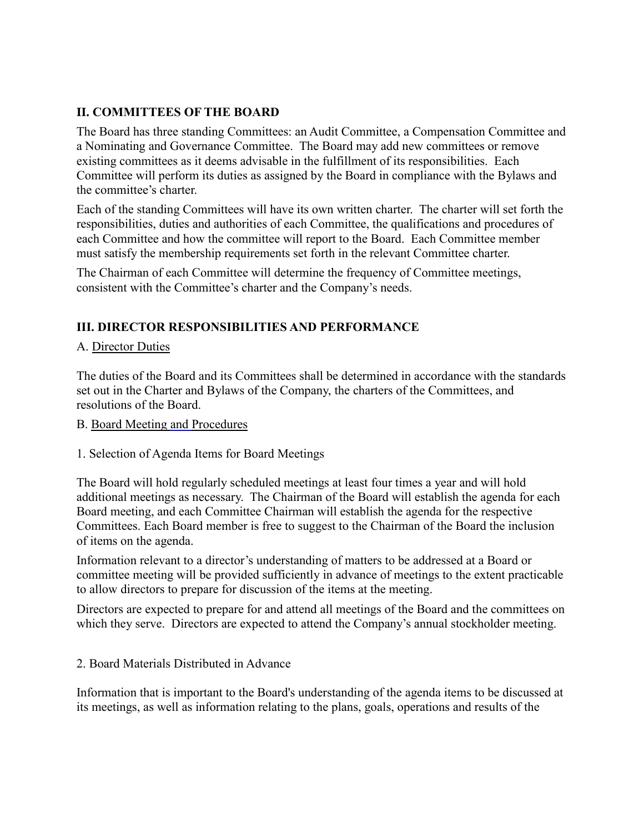## **II. COMMITTEES OF THE BOARD**

The Board has three standing Committees: an Audit Committee, a Compensation Committee and a Nominating and Governance Committee. The Board may add new committees or remove existing committees as it deems advisable in the fulfillment of its responsibilities. Each Committee will perform its duties as assigned by the Board in compliance with the Bylaws and the committee's charter.

Each of the standing Committees will have its own written charter. The charter will set forth the responsibilities, duties and authorities of each Committee, the qualifications and procedures of each Committee and how the committee will report to the Board. Each Committee member must satisfy the membership requirements set forth in the relevant Committee charter.

The Chairman of each Committee will determine the frequency of Committee meetings, consistent with the Committee's charter and the Company's needs.

# **III. DIRECTOR RESPONSIBILITIES AND PERFORMANCE**

### A. Director Duties

The duties of the Board and its Committees shall be determined in accordance with the standards set out in the Charter and Bylaws of the Company, the charters of the Committees, and resolutions of the Board.

#### B. Board Meeting and Procedures

#### 1. Selection of Agenda Items for Board Meetings

The Board will hold regularly scheduled meetings at least four times a year and will hold additional meetings as necessary. The Chairman of the Board will establish the agenda for each Board meeting, and each Committee Chairman will establish the agenda for the respective Committees. Each Board member is free to suggest to the Chairman of the Board the inclusion of items on the agenda.

Information relevant to a director's understanding of matters to be addressed at a Board or committee meeting will be provided sufficiently in advance of meetings to the extent practicable to allow directors to prepare for discussion of the items at the meeting.

Directors are expected to prepare for and attend all meetings of the Board and the committees on which they serve. Directors are expected to attend the Company's annual stockholder meeting.

#### 2. Board Materials Distributed in Advance

Information that is important to the Board's understanding of the agenda items to be discussed at its meetings, as well as information relating to the plans, goals, operations and results of the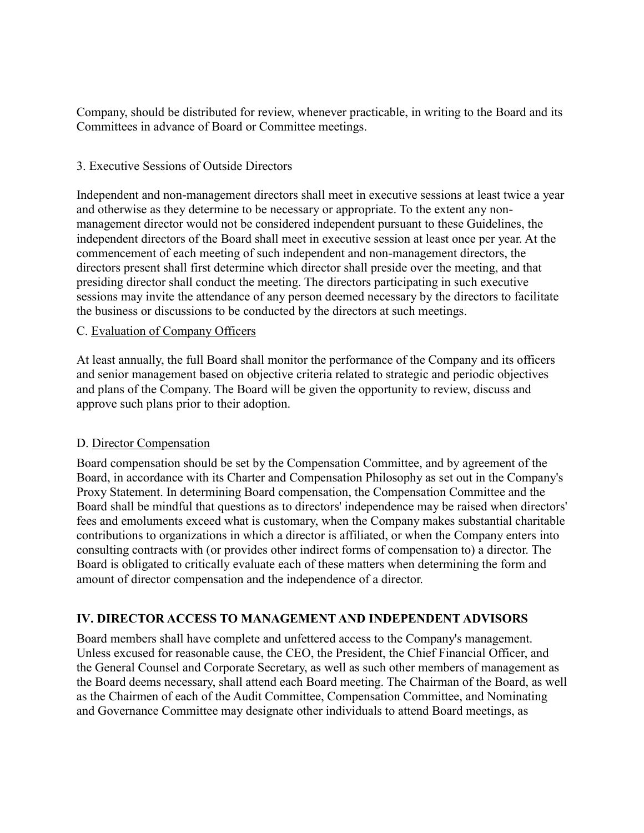Company, should be distributed for review, whenever practicable, in writing to the Board and its Committees in advance of Board or Committee meetings.

#### 3. Executive Sessions of Outside Directors

Independent and non-management directors shall meet in executive sessions at least twice a year and otherwise as they determine to be necessary or appropriate. To the extent any nonmanagement director would not be considered independent pursuant to these Guidelines, the independent directors of the Board shall meet in executive session at least once per year. At the commencement of each meeting of such independent and non-management directors, the directors present shall first determine which director shall preside over the meeting, and that presiding director shall conduct the meeting. The directors participating in such executive sessions may invite the attendance of any person deemed necessary by the directors to facilitate the business or discussions to be conducted by the directors at such meetings.

#### C. Evaluation of Company Officers

At least annually, the full Board shall monitor the performance of the Company and its officers and senior management based on objective criteria related to strategic and periodic objectives and plans of the Company. The Board will be given the opportunity to review, discuss and approve such plans prior to their adoption.

#### D. Director Compensation

Board compensation should be set by the Compensation Committee, and by agreement of the Board, in accordance with its Charter and Compensation Philosophy as set out in the Company's Proxy Statement. In determining Board compensation, the Compensation Committee and the Board shall be mindful that questions as to directors' independence may be raised when directors' fees and emoluments exceed what is customary, when the Company makes substantial charitable contributions to organizations in which a director is affiliated, or when the Company enters into consulting contracts with (or provides other indirect forms of compensation to) a director. The Board is obligated to critically evaluate each of these matters when determining the form and amount of director compensation and the independence of a director.

#### **IV. DIRECTOR ACCESS TO MANAGEMENT AND INDEPENDENT ADVISORS**

Board members shall have complete and unfettered access to the Company's management. Unless excused for reasonable cause, the CEO, the President, the Chief Financial Officer, and the General Counsel and Corporate Secretary, as well as such other members of management as the Board deems necessary, shall attend each Board meeting. The Chairman of the Board, as well as the Chairmen of each of the Audit Committee, Compensation Committee, and Nominating and Governance Committee may designate other individuals to attend Board meetings, as